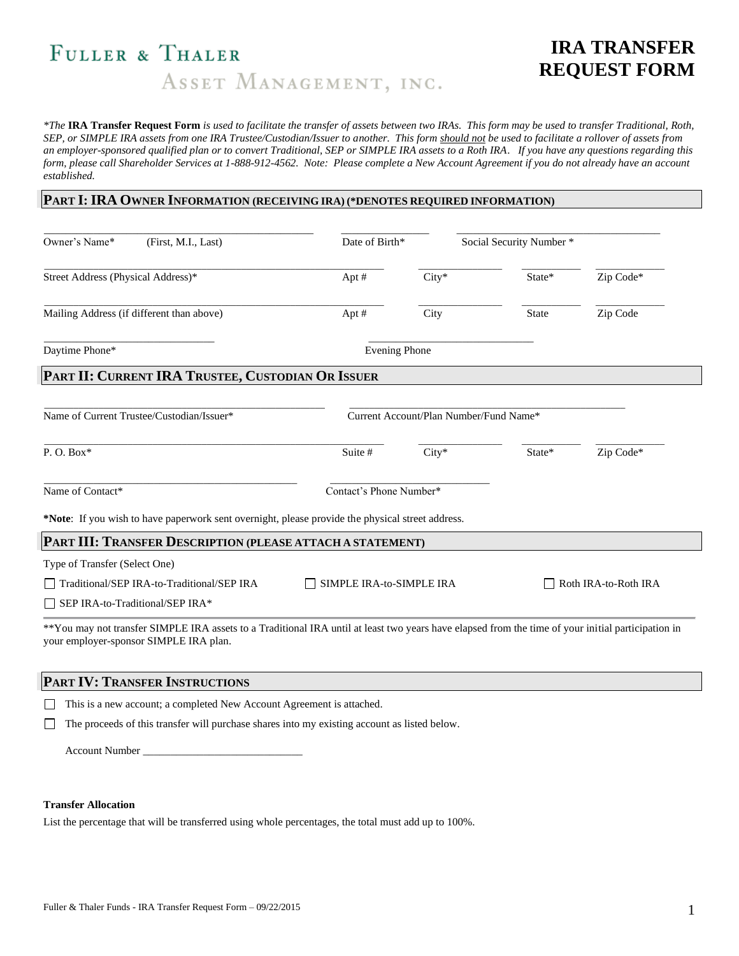# FULLER & THALER ASSET MANAGEMENT, INC.

# **IRA TRANSFER REQUEST FORM**

*\*The* **IRA Transfer Request Form** *is used to facilitate the transfer of assets between two IRAs. This form may be used to transfer Traditional, Roth, SEP, or SIMPLE IRA assets from one IRA Trustee/Custodian/Issuer to another. This form should not be used to facilitate a rollover of assets from an employer-sponsored qualified plan or to convert Traditional, SEP or SIMPLE IRA assets to a Roth IRA*. *If you have any questions regarding this form, please call Shareholder Services at 1-888-912-4562. Note: Please complete a New Account Agreement if you do not already have an account established.*

#### **PART I:IRA OWNER INFORMATION (RECEIVING IRA) (\*DENOTES REQUIRED INFORMATION)**

| Owner's Name*<br>(First, M.I., Last)                                                                                                                                                          | Date of Birth*                                   |         | Social Security Number * |           |
|-----------------------------------------------------------------------------------------------------------------------------------------------------------------------------------------------|--------------------------------------------------|---------|--------------------------|-----------|
| Street Address (Physical Address)*                                                                                                                                                            | Apt #                                            | $City*$ | State*                   | Zip Code* |
| Mailing Address (if different than above)                                                                                                                                                     | Apt #                                            | City    | <b>State</b>             | Zip Code  |
| Daytime Phone*                                                                                                                                                                                | <b>Evening Phone</b>                             |         |                          |           |
| PART II: CURRENT IRA TRUSTEE, CUSTODIAN OR ISSUER                                                                                                                                             |                                                  |         |                          |           |
| Name of Current Trustee/Custodian/Issuer*                                                                                                                                                     | Current Account/Plan Number/Fund Name*           |         |                          |           |
| $P. O. Box*$                                                                                                                                                                                  | Suite #                                          | $City*$ | State*                   | Zip Code* |
| Name of Contact*                                                                                                                                                                              | Contact's Phone Number*                          |         |                          |           |
| *Note: If you wish to have paperwork sent overnight, please provide the physical street address.                                                                                              |                                                  |         |                          |           |
| PART III: TRANSFER DESCRIPTION (PLEASE ATTACH A STATEMENT)                                                                                                                                    |                                                  |         |                          |           |
| Type of Transfer (Select One)                                                                                                                                                                 |                                                  |         |                          |           |
| Traditional/SEP IRA-to-Traditional/SEP IRA                                                                                                                                                    | SIMPLE IRA-to-SIMPLE IRA<br>Roth IRA-to-Roth IRA |         |                          |           |
| SEP IRA-to-Traditional/SEP IRA*                                                                                                                                                               |                                                  |         |                          |           |
| ** You may not transfer SIMPLE IRA assets to a Traditional IRA until at least two years have elapsed from the time of your initial participation in<br>your employer-sponsor SIMPLE IRA plan. |                                                  |         |                          |           |
| PART IV: TRANSFER INSTRUCTIONS                                                                                                                                                                |                                                  |         |                          |           |

This is a new account; a completed New Account Agreement is attached.

The proceeds of this transfer will purchase shares into my existing account as listed below.

Account Number

#### **Transfer Allocation**

List the percentage that will be transferred using whole percentages, the total must add up to 100%.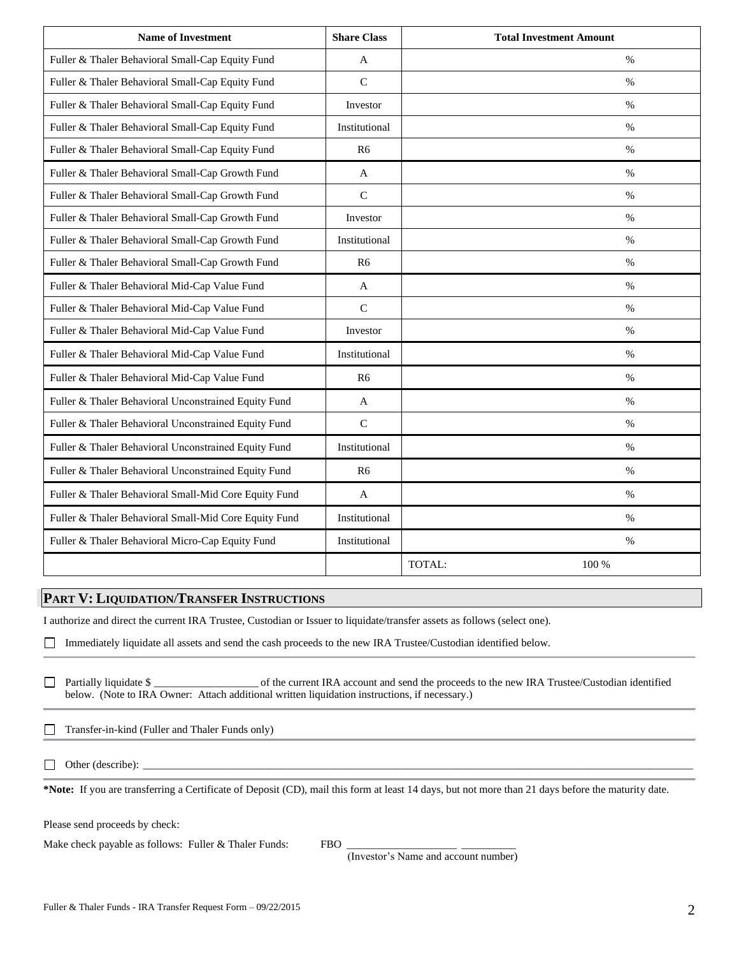| <b>Name of Investment</b>                             | <b>Share Class</b> | <b>Total Investment Amount</b> |
|-------------------------------------------------------|--------------------|--------------------------------|
| Fuller & Thaler Behavioral Small-Cap Equity Fund      | A                  | $\%$                           |
| Fuller & Thaler Behavioral Small-Cap Equity Fund      | $\mathcal{C}$      | $\frac{0}{0}$                  |
| Fuller & Thaler Behavioral Small-Cap Equity Fund      | Investor           | $\%$                           |
| Fuller & Thaler Behavioral Small-Cap Equity Fund      | Institutional      | $\%$                           |
| Fuller & Thaler Behavioral Small-Cap Equity Fund      | R6                 | $\%$                           |
| Fuller & Thaler Behavioral Small-Cap Growth Fund      | A                  | $\frac{0}{0}$                  |
| Fuller & Thaler Behavioral Small-Cap Growth Fund      | $\mathsf{C}$       | $\%$                           |
| Fuller & Thaler Behavioral Small-Cap Growth Fund      | Investor           | $\%$                           |
| Fuller & Thaler Behavioral Small-Cap Growth Fund      | Institutional      | $\%$                           |
| Fuller & Thaler Behavioral Small-Cap Growth Fund      | R6                 | $\%$                           |
| Fuller & Thaler Behavioral Mid-Cap Value Fund         | A                  | $\%$                           |
| Fuller & Thaler Behavioral Mid-Cap Value Fund         | $\mathcal{C}$      | $\%$                           |
| Fuller & Thaler Behavioral Mid-Cap Value Fund         | Investor           | $\%$                           |
| Fuller & Thaler Behavioral Mid-Cap Value Fund         | Institutional      | $\%$                           |
| Fuller & Thaler Behavioral Mid-Cap Value Fund         | R <sub>6</sub>     | $\%$                           |
| Fuller & Thaler Behavioral Unconstrained Equity Fund  | A                  | $\%$                           |
| Fuller & Thaler Behavioral Unconstrained Equity Fund  | $\mathbf C$        | $\%$                           |
| Fuller & Thaler Behavioral Unconstrained Equity Fund  | Institutional      | $\%$                           |
| Fuller & Thaler Behavioral Unconstrained Equity Fund  | R <sub>6</sub>     | $\%$                           |
| Fuller & Thaler Behavioral Small-Mid Core Equity Fund | A                  | $\%$                           |
| Fuller & Thaler Behavioral Small-Mid Core Equity Fund | Institutional      | $\%$                           |
| Fuller & Thaler Behavioral Micro-Cap Equity Fund      | Institutional      | $\%$                           |
|                                                       |                    | TOTAL:<br>100 %                |

#### **PART V: LIQUIDATION/TRANSFER INSTRUCTIONS**

I authorize and direct the current IRA Trustee, Custodian or Issuer to liquidate/transfer assets as follows (select one).

 $\Box$ Immediately liquidate all assets and send the cash proceeds to the new IRA Trustee/Custodian identified below.

Partially liquidate \$ \_\_\_\_\_\_\_\_\_\_\_\_\_\_\_\_\_\_\_ of the current IRA account and send the proceeds to the new IRA Trustee/Custodian identified below. (Note to IRA Owner: Attach additional written liquidation instructions, if necessary.)

Transfer-in-kind (Fuller and Thaler Funds only)  $\Box$ 

 $\Box$  Other (describe):

**\*Note:** If you are transferring a Certificate of Deposit (CD), mail this form at least 14 days, but not more than 21 days before the maturity date.

Please send proceeds by check:

Make check payable as follows: Fuller  $&$  Thaler Funds: FBO

(Investor's Name and account number)